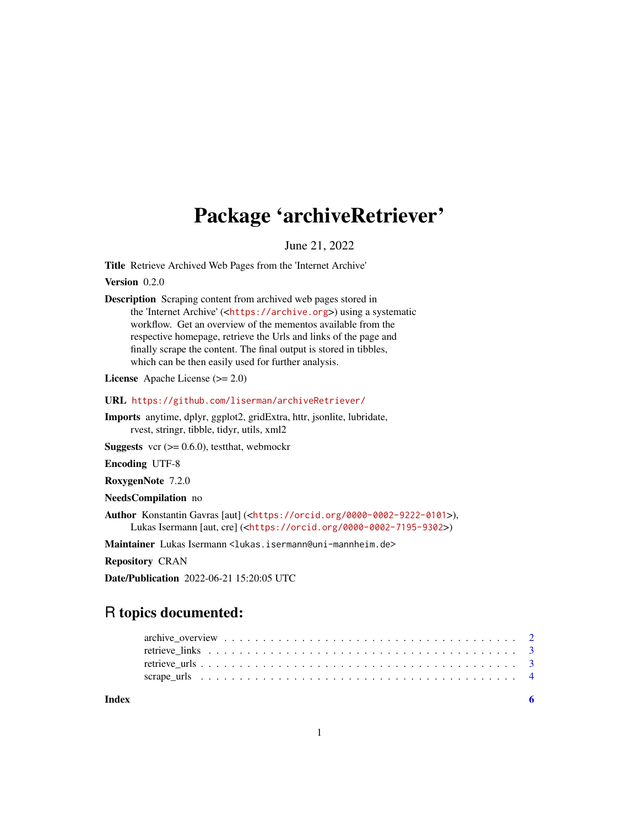## Package 'archiveRetriever'

June 21, 2022

<span id="page-0-0"></span>Title Retrieve Archived Web Pages from the 'Internet Archive'

Version 0.2.0

Description Scraping content from archived web pages stored in the 'Internet Archive' (<<https://archive.org>>) using a systematic workflow. Get an overview of the mementos available from the respective homepage, retrieve the Urls and links of the page and finally scrape the content. The final output is stored in tibbles, which can be then easily used for further analysis.

License Apache License (>= 2.0)

URL <https://github.com/liserman/archiveRetriever/>

Imports anytime, dplyr, ggplot2, gridExtra, httr, jsonlite, lubridate, rvest, stringr, tibble, tidyr, utils, xml2

**Suggests** vcr  $(>= 0.6.0)$ , test that, we bmockr

Encoding UTF-8

RoxygenNote 7.2.0

NeedsCompilation no

Author Konstantin Gavras [aut] (<<https://orcid.org/0000-0002-9222-0101>>), Lukas Isermann [aut, cre] (<<https://orcid.org/0000-0002-7195-9302>>)

Maintainer Lukas Isermann <lukas.isermann@uni-mannheim.de>

Repository CRAN

Date/Publication 2022-06-21 15:20:05 UTC

### R topics documented:

| Index |  |
|-------|--|
|       |  |
|       |  |
|       |  |
|       |  |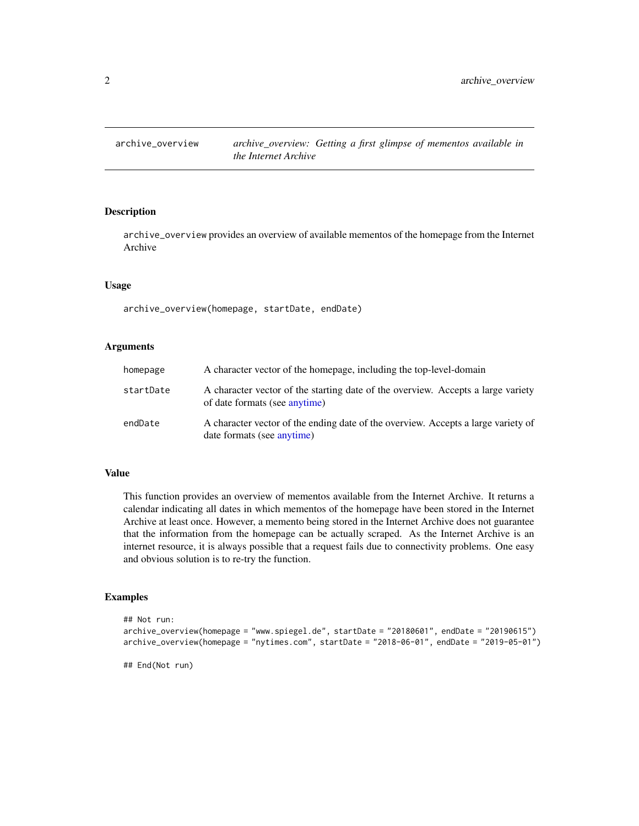<span id="page-1-0"></span>

#### **Description**

archive\_overview provides an overview of available mementos of the homepage from the Internet Archive

#### Usage

archive\_overview(homepage, startDate, endDate)

#### Arguments

| homepage  | A character vector of the homepage, including the top-level-domain                                                |
|-----------|-------------------------------------------------------------------------------------------------------------------|
| startDate | A character vector of the starting date of the overview. Accepts a large variety<br>of date formats (see anytime) |
| endDate   | A character vector of the ending date of the overview. Accepts a large variety of<br>date formats (see anytime)   |

#### Value

This function provides an overview of mementos available from the Internet Archive. It returns a calendar indicating all dates in which mementos of the homepage have been stored in the Internet Archive at least once. However, a memento being stored in the Internet Archive does not guarantee that the information from the homepage can be actually scraped. As the Internet Archive is an internet resource, it is always possible that a request fails due to connectivity problems. One easy and obvious solution is to re-try the function.

#### Examples

```
## Not run:
archive_overview(homepage = "www.spiegel.de", startDate = "20180601", endDate = "20190615")
archive_overview(homepage = "nytimes.com", startDate = "2018-06-01", endDate = "2019-05-01")
```
## End(Not run)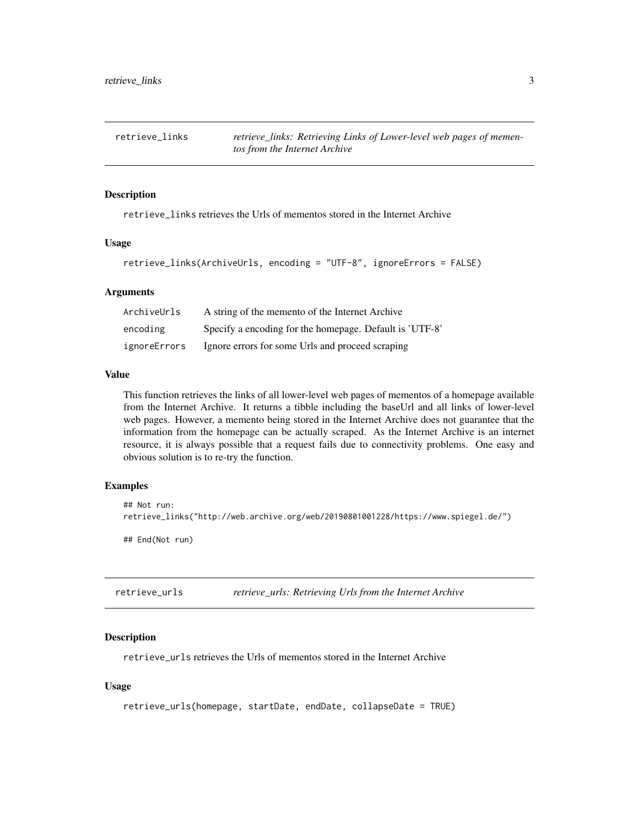<span id="page-2-0"></span>retrieve\_links *retrieve\_links: Retrieving Links of Lower-level web pages of mementos from the Internet Archive*

#### Description

retrieve\_links retrieves the Urls of mementos stored in the Internet Archive

#### Usage

```
retrieve_links(ArchiveUrls, encoding = "UTF-8", ignoreErrors = FALSE)
```
#### Arguments

| ArchiveUrls  | A string of the memento of the Internet Archive         |
|--------------|---------------------------------------------------------|
| encoding     | Specify a encoding for the homepage. Default is 'UTF-8' |
| ignoreErrors | Ignore errors for some Urls and proceed scraping        |

#### Value

This function retrieves the links of all lower-level web pages of mementos of a homepage available from the Internet Archive. It returns a tibble including the baseUrl and all links of lower-level web pages. However, a memento being stored in the Internet Archive does not guarantee that the information from the homepage can be actually scraped. As the Internet Archive is an internet resource, it is always possible that a request fails due to connectivity problems. One easy and obvious solution is to re-try the function.

#### Examples

```
## Not run:
retrieve_links("http://web.archive.org/web/20190801001228/https://www.spiegel.de/")
## End(Not run)
```
retrieve\_urls *retrieve\_urls: Retrieving Urls from the Internet Archive*

#### Description

retrieve\_urls retrieves the Urls of mementos stored in the Internet Archive

#### Usage

```
retrieve_urls(homepage, startDate, endDate, collapseDate = TRUE)
```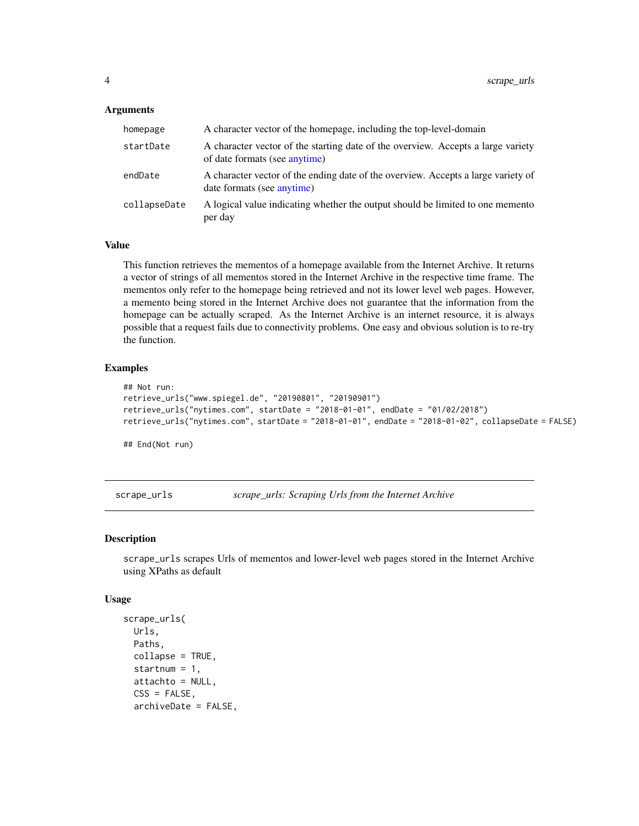#### <span id="page-3-0"></span>Arguments

| homepage     | A character vector of the homepage, including the top-level-domain                                                |
|--------------|-------------------------------------------------------------------------------------------------------------------|
| startDate    | A character vector of the starting date of the overview. Accepts a large variety<br>of date formats (see anytime) |
| endDate      | A character vector of the ending date of the overview. Accepts a large variety of<br>date formats (see anytime)   |
| collapseDate | A logical value indicating whether the output should be limited to one memento<br>per day                         |

#### Value

This function retrieves the mementos of a homepage available from the Internet Archive. It returns a vector of strings of all mementos stored in the Internet Archive in the respective time frame. The mementos only refer to the homepage being retrieved and not its lower level web pages. However, a memento being stored in the Internet Archive does not guarantee that the information from the homepage can be actually scraped. As the Internet Archive is an internet resource, it is always possible that a request fails due to connectivity problems. One easy and obvious solution is to re-try the function.

#### Examples

```
## Not run:
retrieve_urls("www.spiegel.de", "20190801", "20190901")
retrieve_urls("nytimes.com", startDate = "2018-01-01", endDate = "01/02/2018")
retrieve_urls("nytimes.com", startDate = "2018-01-01", endDate = "2018-01-02", collapseDate = FALSE)
```
## End(Not run)

scrape\_urls *scrape\_urls: Scraping Urls from the Internet Archive*

#### **Description**

scrape\_urls scrapes Urls of mementos and lower-level web pages stored in the Internet Archive using XPaths as default

#### Usage

```
scrape_urls(
 Urls,
 Paths,
  collapse = TRUE,
  startnum = 1,
  attachto = NULL,
 CSS = FALSE,archiveDate = FALSE,
```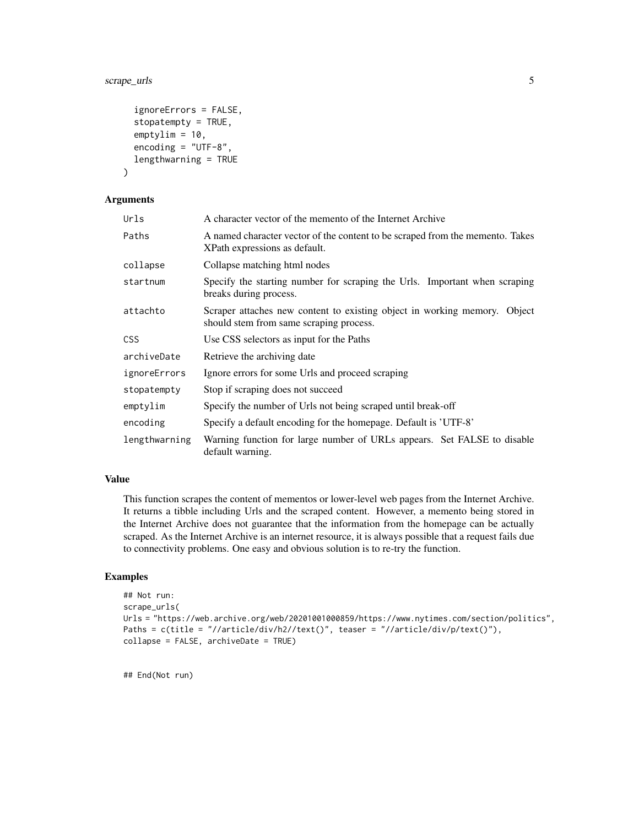#### scrape\_urls 5

```
ignoreErrors = FALSE,
  stopatempty = TRUE,
  emptylim = 10,
 encoding = "UTF-8",
  lengthwarning = TRUE
)
```
#### Arguments

| Urls          | A character vector of the memento of the Internet Archive                                                            |
|---------------|----------------------------------------------------------------------------------------------------------------------|
| Paths         | A named character vector of the content to be scraped from the memento. Takes<br>XPath expressions as default.       |
| collapse      | Collapse matching html nodes                                                                                         |
| startnum      | Specify the starting number for scraping the Urls. Important when scraping<br>breaks during process.                 |
| attachto      | Scraper attaches new content to existing object in working memory. Object<br>should stem from same scraping process. |
| <b>CSS</b>    | Use CSS selectors as input for the Paths                                                                             |
| archiveDate   | Retrieve the archiving date                                                                                          |
| ignoreErrors  | Ignore errors for some Urls and proceed scraping                                                                     |
| stopatempty   | Stop if scraping does not succeed                                                                                    |
| emptylim      | Specify the number of Urls not being scraped until break-off                                                         |
| encoding      | Specify a default encoding for the homepage. Default is 'UTF-8'                                                      |
| lengthwarning | Warning function for large number of URLs appears. Set FALSE to disable<br>default warning.                          |

#### Value

This function scrapes the content of mementos or lower-level web pages from the Internet Archive. It returns a tibble including Urls and the scraped content. However, a memento being stored in the Internet Archive does not guarantee that the information from the homepage can be actually scraped. As the Internet Archive is an internet resource, it is always possible that a request fails due to connectivity problems. One easy and obvious solution is to re-try the function.

#### Examples

```
## Not run:
scrape_urls(
Urls = "https://web.archive.org/web/20201001000859/https://www.nytimes.com/section/politics",
Paths = c(title = "//article/div/h2//text()", teaser = "//article/div/p/text()"),
collapse = FALSE, archiveDate = TRUE)
```
## End(Not run)